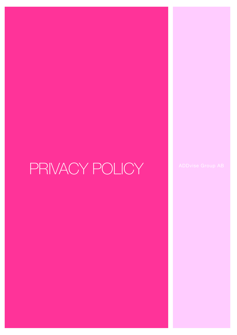# PRIVACY POLICY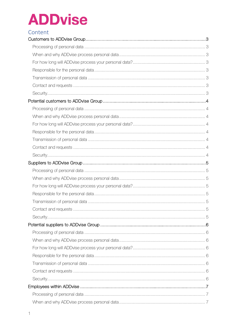### Content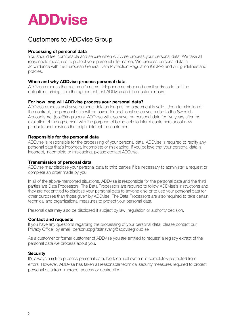### <span id="page-3-0"></span>Customers to ADDvise Group

#### <span id="page-3-1"></span>Processing of personal data

You should feel comfortable and secure when ADDvise process your personal data. We take all reasonable measures to protect your personal information. We process personal data in accordance with the European General Data Protection Regulation (GDPR) and our guidelines and policies.

#### <span id="page-3-2"></span>When and why ADDvise process personal data

ADDvise process the customer's name, telephone number and email address to fulfil the obligations arising from the agreement that ADDvise and the customer have.

#### <span id="page-3-3"></span>For how long will ADDvise process your personal data?

ADDvise process and save personal data as long as the agreement is valid. Upon termination of the contract, the personal data will be saved for additional seven years due to the Swedish Accounts Act (bokföringslagen). ADDvise will also save the personal data for five years after the expiration of the agreement with the purpose of being able to inform customers about new products and services that might interest the customer.

#### <span id="page-3-4"></span>Responsible for the personal data

ADDvise is responsible for the processing of your personal data. ADDvise is required to rectify any personal data that's incorrect, incomplete or misleading. If you believe that your personal data is incorrect, incomplete or misleading, please contact ADDvise.

#### <span id="page-3-5"></span>Transmission of personal data

ADDvise may disclose your personal data to third parties if it's necessary to administer a request or complete an order made by you.

In all of the above-mentioned situations, ADDvise is responsible for the personal data and the third parties are Data Processors. The Data Processors are required to follow ADDvise's instructions and they are not entitled to disclose your personal data to anyone else or to use your personal data for other purposes than those given by ADDvise. The Data Processors are also required to take certain technical and organizational measures to protect your personal data.

Personal data may also be disclosed if subject by law, regulation or authority decision.

#### <span id="page-3-6"></span>Contact and requests

If you have any questions regarding the processing of your personal data, please contact our Privacy Officer by email: personuppgiftsansvarig@addvisegroup.se

As a customer or former customer of ADDvise you are entitled to request a registry extract of the personal data we process about you.

#### <span id="page-3-8"></span><span id="page-3-7"></span>**Security**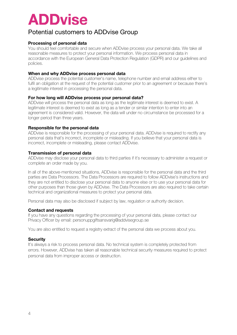### Potential customers to ADDvise Group

#### <span id="page-4-0"></span>Processing of personal data

You should feel comfortable and secure when ADDvise process your personal data. We take all reasonable measures to protect your personal information. We process personal data in accordance with the European General Data Protection Regulation (GDPR) and our guidelines and policies.

#### <span id="page-4-1"></span>When and why ADDvise process personal data

ADDvise process the potential customer's name, telephone number and email address either to fulfil an obligation at the request of the potential customer prior to an agreement or because there's a legitimate interest in processing the personal data.

#### <span id="page-4-2"></span>For how long will ADDvise process your personal data?

ADDvise will process the personal data as long as the legitimate interest is deemed to exist. A legitimate interest is deemed to exist as long as a tender or similar intention to enter into an agreement is considered valid. However, the data will under no circumstance be processed for a longer period than three years.

#### <span id="page-4-3"></span>Responsible for the personal data

ADDvise is responsible for the processing of your personal data. ADDvise is required to rectify any personal data that's incorrect, incomplete or misleading. If you believe that your personal data is incorrect, incomplete or misleading, please contact ADDvise.

#### <span id="page-4-4"></span>Transmission of personal data

ADDvise may disclose your personal data to third parties if it's necessary to administer a request or complete an order made by you.

In all of the above-mentioned situations, ADDvise is responsible for the personal data and the third parties are Data Processors. The Data Processors are required to follow ADDvise's instructions and they are not entitled to disclose your personal data to anyone else or to use your personal data for other purposes than those given by ADDvise. The Data Processors are also required to take certain technical and organizational measures to protect your personal data.

Personal data may also be disclosed if subject by law, regulation or authority decision.

#### <span id="page-4-5"></span>Contact and requests

If you have any questions regarding the processing of your personal data, please contact our Privacy Officer by email: personuppgiftsansvarig@addvisegroup.se

You are also entitled to request a registry extract of the personal data we process about you.

#### <span id="page-4-6"></span>**Security**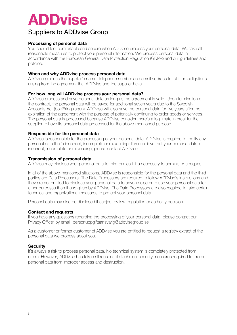### <span id="page-5-0"></span>Suppliers to ADDvise Group

#### <span id="page-5-1"></span>Processing of personal data

You should feel comfortable and secure when ADDvise process your personal data. We take all reasonable measures to protect your personal information. We process personal data in accordance with the European General Data Protection Regulation (GDPR) and our guidelines and policies.

#### <span id="page-5-2"></span>When and why ADDvise process personal data

ADDvise process the supplier's name, telephone number and email address to fulfil the obligations arising from the agreement that ADDvise and the supplier have.

#### <span id="page-5-3"></span>For how long will ADDvise process your personal data?

ADDvise process and save personal data as long as the agreement is valid. Upon termination of the contract, the personal data will be saved for additional seven years due to the Swedish Accounts Act (bokföringslagen). ADDvise will also save the personal data for five years after the expiration of the agreement with the purpose of potentially continuing to order goods or services. The personal data is processed because ADDvise consider there's a legitimate interest for the supplier to have its personal data processed for the above-mentioned purpose.

#### <span id="page-5-4"></span>Responsible for the personal data

ADDvise is responsible for the processing of your personal data. ADDvise is required to rectify any personal data that's incorrect, incomplete or misleading. If you believe that your personal data is incorrect, incomplete or misleading, please contact ADDvise.

#### <span id="page-5-5"></span>Transmission of personal data

ADDvise may disclose your personal data to third parties if it's necessary to administer a request.

In all of the above-mentioned situations, ADDvise is responsible for the personal data and the third parties are Data Processors. The Data Processors are required to follow ADDvise's instructions and they are not entitled to disclose your personal data to anyone else or to use your personal data for other purposes than those given by ADDvise. The Data Processors are also required to take certain technical and organizational measures to protect your personal data.

Personal data may also be disclosed if subject by law, regulation or authority decision.

#### <span id="page-5-6"></span>Contact and requests

If you have any questions regarding the processing of your personal data, please contact our Privacy Officer by email: personuppgiftsansvarig@addvisegroup.se

As a customer or former customer of ADDvise you are entitled to request a registry extract of the personal data we process about you.

#### <span id="page-5-8"></span><span id="page-5-7"></span>**Security**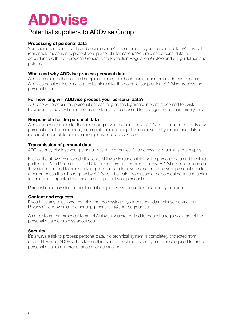### Potential suppliers to ADDvise Group

#### <span id="page-6-0"></span>Processing of personal data

You should feel comfortable and secure when ADDvise process your personal data. We take all reasonable measures to protect your personal information. We process personal data in accordance with the European General Data Protection Regulation (GDPR) and our guidelines and policies.

#### <span id="page-6-1"></span>When and why ADDvise process personal data

ADDvise process the potential supplier's name, telephone number and email address because ADDvise consider there's a legitimate interest for the potential supplier that ADDvise process the personal data.

#### <span id="page-6-2"></span>For how long will ADDvise process your personal data?

ADDvise will process the personal data as long as the legitimate interest is deemed to exist. However, the data will under no circumstance be processed for a longer period than three years.

#### <span id="page-6-3"></span>Responsible for the personal data

ADDvise is responsible for the processing of your personal data. ADDvise is required to rectify any personal data that's incorrect, incomplete or misleading. If you believe that your personal data is incorrect, incomplete or misleading, please contact ADDvise.

#### <span id="page-6-4"></span>Transmission of personal data

ADDvise may disclose your personal data to third parties if it's necessary to administer a request.

In all of the above-mentioned situations, ADDvise is responsible for the personal data and the third parties are Data Processors. The Data Processors are required to follow ADDvise's instructions and they are not entitled to disclose your personal data to anyone else or to use your personal data for other purposes than those given by ADDvise. The Data Processors are also required to take certain technical and organizational measures to protect your personal data.

Personal data may also be disclosed if subject by law, regulation or authority decision.

#### <span id="page-6-5"></span>Contact and requests

If you have any questions regarding the processing of your personal data, please contact our Privacy Officer by email: personuppgiftsansvarig@addvisegroup.se

As a customer or former customer of ADDvise you are entitled to request a registry extract of the personal data we process about you.

#### <span id="page-6-6"></span>**Security**